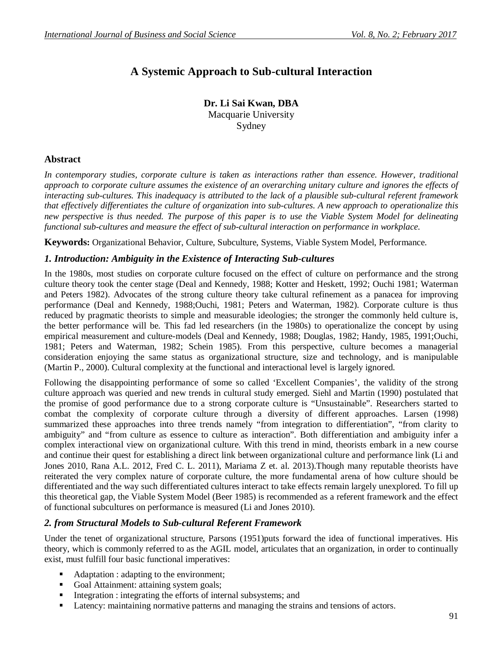# **A Systemic Approach to Sub-cultural Interaction**

**Dr. Li Sai Kwan, DBA** Macquarie University Sydney

### **Abstract**

*In contemporary studies, corporate culture is taken as interactions rather than essence. However, traditional approach to corporate culture assumes the existence of an overarching unitary culture and ignores the effects of interacting sub-cultures. This inadequacy is attributed to the lack of a plausible sub-cultural referent framework that effectively differentiates the culture of organization into sub-cultures. A new approach to operationalize this new perspective is thus needed. The purpose of this paper is to use the Viable System Model for delineating functional sub-cultures and measure the effect of sub-cultural interaction on performance in workplace.*

**Keywords:** Organizational Behavior, Culture, Subculture, Systems, Viable System Model, Performance.

### *1. Introduction: Ambiguity in the Existence of Interacting Sub-cultures*

In the 1980s, most studies on corporate culture focused on the effect of culture on performance and the strong culture theory took the center stage (Deal and Kennedy, 1988; Kotter and Heskett, 1992; Ouchi 1981; Waterman and Peters 1982). Advocates of the strong culture theory take cultural refinement as a panacea for improving performance (Deal and Kennedy, 1988;Ouchi, 1981; Peters and Waterman, 1982). Corporate culture is thus reduced by pragmatic theorists to simple and measurable ideologies; the stronger the commonly held culture is, the better performance will be. This fad led researchers (in the 1980s) to operationalize the concept by using empirical measurement and culture-models (Deal and Kennedy, 1988; Douglas, 1982; Handy, 1985, 1991;Ouchi, 1981; Peters and Waterman, 1982; Schein 1985). From this perspective, culture becomes a managerial consideration enjoying the same status as organizational structure, size and technology, and is manipulable (Martin P., 2000). Cultural complexity at the functional and interactional level is largely ignored.

Following the disappointing performance of some so called 'Excellent Companies', the validity of the strong culture approach was queried and new trends in cultural study emerged. Siehl and Martin (1990) postulated that the promise of good performance due to a strong corporate culture is "Unsustainable". Researchers started to combat the complexity of corporate culture through a diversity of different approaches. Larsen (1998) summarized these approaches into three trends namely "from integration to differentiation", "from clarity to ambiguity" and "from culture as essence to culture as interaction". Both differentiation and ambiguity infer a complex interactional view on organizational culture. With this trend in mind, theorists embark in a new course and continue their quest for establishing a direct link between organizational culture and performance link (Li and Jones 2010, Rana A.L. 2012, Fred C. L. 2011), Mariama Z et. al. 2013).Though many reputable theorists have reiterated the very complex nature of corporate culture, the more fundamental arena of how culture should be differentiated and the way such differentiated cultures interact to take effects remain largely unexplored. To fill up this theoretical gap, the Viable System Model (Beer 1985) is recommended as a referent framework and the effect of functional subcultures on performance is measured (Li and Jones 2010).

### *2. from Structural Models to Sub-cultural Referent Framework*

Under the tenet of organizational structure, Parsons (1951)puts forward the idea of functional imperatives. His theory, which is commonly referred to as the AGIL model, articulates that an organization, in order to continually exist, must fulfill four basic functional imperatives:

- Adaptation : adapting to the environment;
- Goal Attainment: attaining system goals;
- Integration : integrating the efforts of internal subsystems; and
- **Latency:** maintaining normative patterns and managing the strains and tensions of actors.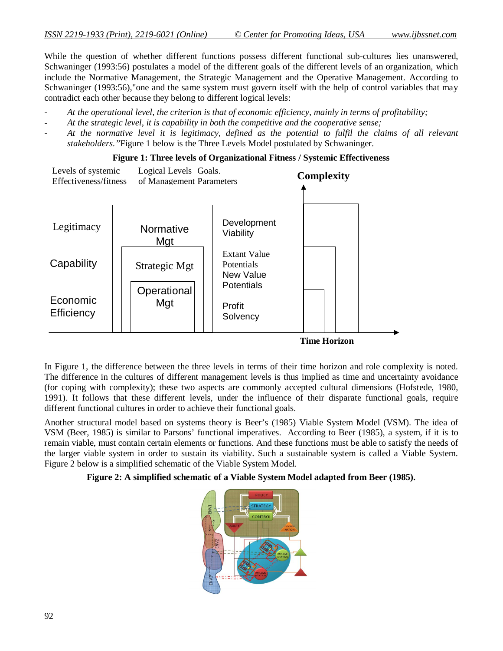While the question of whether different functions possess different functional sub-cultures lies unanswered, Schwaninger (1993:56) postulates a model of the different goals of the different levels of an organization, which include the Normative Management, the Strategic Management and the Operative Management. According to Schwaninger (1993:56),"one and the same system must govern itself with the help of control variables that may contradict each other because they belong to different logical levels:

- *At the operational level, the criterion is that of economic efficiency, mainly in terms of profitability;*
- *At the strategic level, it is capability in both the competitive and the cooperative sense;*
- *At the normative level it is legitimacy, defined as the potential to fulfil the claims of all relevant stakeholders."*Figure 1 below is the Three Levels Model postulated by Schwaninger.

#### **Figure 1: Three levels of Organizational Fitness / Systemic Effectiveness**



In Figure 1, the difference between the three levels in terms of their time horizon and role complexity is noted. The difference in the cultures of different management levels is thus implied as time and uncertainty avoidance (for coping with complexity); these two aspects are commonly accepted cultural dimensions (Hofstede, 1980, 1991). It follows that these different levels, under the influence of their disparate functional goals, require different functional cultures in order to achieve their functional goals.

Another structural model based on systems theory is Beer's (1985) Viable System Model (VSM). The idea of VSM (Beer, 1985) is similar to Parsons' functional imperatives. According to Beer (1985), a system, if it is to remain viable, must contain certain elements or functions. And these functions must be able to satisfy the needs of the larger viable system in order to sustain its viability. Such a sustainable system is called a Viable System. Figure 2 below is a simplified schematic of the Viable System Model.

#### **Figure 2: A simplified schematic of a Viable System Model adapted from Beer (1985).**

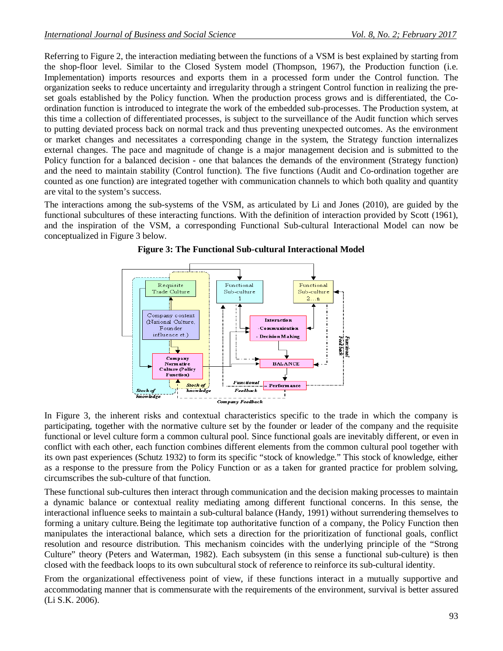Referring to Figure 2, the interaction mediating between the functions of a VSM is best explained by starting from the shop-floor level. Similar to the Closed System model (Thompson, 1967), the Production function (i.e. Implementation) imports resources and exports them in a processed form under the Control function. The organization seeks to reduce uncertainty and irregularity through a stringent Control function in realizing the preset goals established by the Policy function. When the production process grows and is differentiated, the Coordination function is introduced to integrate the work of the embedded sub-processes. The Production system, at this time a collection of differentiated processes, is subject to the surveillance of the Audit function which serves to putting deviated process back on normal track and thus preventing unexpected outcomes. As the environment or market changes and necessitates a corresponding change in the system, the Strategy function internalizes external changes. The pace and magnitude of change is a major management decision and is submitted to the Policy function for a balanced decision - one that balances the demands of the environment (Strategy function) and the need to maintain stability (Control function). The five functions (Audit and Co-ordination together are counted as one function) are integrated together with communication channels to which both quality and quantity are vital to the system's success.

The interactions among the sub-systems of the VSM, as articulated by Li and Jones (2010), are guided by the functional subcultures of these interacting functions. With the definition of interaction provided by Scott (1961), and the inspiration of the VSM, a corresponding Functional Sub-cultural Interactional Model can now be conceptualized in Figure 3 below.



**Figure 3: The Functional Sub-cultural Interactional Model**

In Figure 3, the inherent risks and contextual characteristics specific to the trade in which the company is participating, together with the normative culture set by the founder or leader of the company and the requisite functional or level culture form a common cultural pool. Since functional goals are inevitably different, or even in conflict with each other, each function combines different elements from the common cultural pool together with its own past experiences (Schutz 1932) to form its specific "stock of knowledge." This stock of knowledge, either as a response to the pressure from the Policy Function or as a taken for granted practice for problem solving, circumscribes the sub-culture of that function.

These functional sub-cultures then interact through communication and the decision making processes to maintain a dynamic balance or contextual reality mediating among different functional concerns. In this sense, the interactional influence seeks to maintain a sub-cultural balance (Handy, 1991) without surrendering themselves to forming a unitary culture.Being the legitimate top authoritative function of a company, the Policy Function then manipulates the interactional balance, which sets a direction for the prioritization of functional goals, conflict resolution and resource distribution. This mechanism coincides with the underlying principle of the "Strong Culture" theory (Peters and Waterman, 1982). Each subsystem (in this sense a functional sub-culture) is then closed with the feedback loops to its own subcultural stock of reference to reinforce its sub-cultural identity.

From the organizational effectiveness point of view, if these functions interact in a mutually supportive and accommodating manner that is commensurate with the requirements of the environment, survival is better assured (Li S.K. 2006).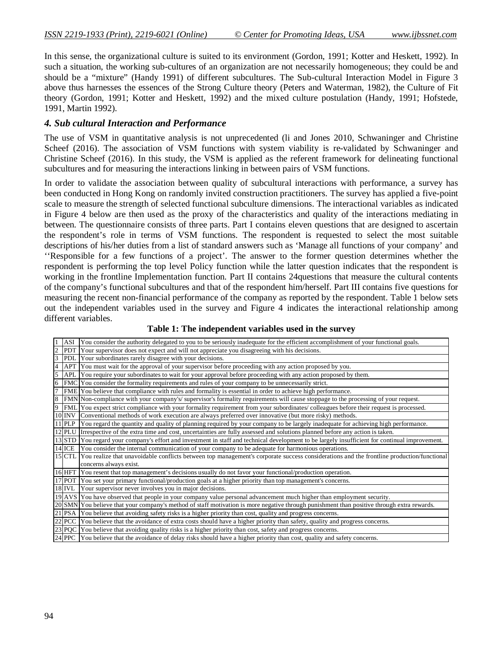In this sense, the organizational culture is suited to its environment (Gordon, 1991; Kotter and Heskett, 1992). In such a situation, the working sub-cultures of an organization are not necessarily homogeneous; they could be and should be a "mixture" (Handy 1991) of different subcultures. The Sub-cultural Interaction Model in Figure 3 above thus harnesses the essences of the Strong Culture theory (Peters and Waterman, 1982), the Culture of Fit theory (Gordon, 1991; Kotter and Heskett, 1992) and the mixed culture postulation (Handy, 1991; Hofstede, 1991, Martin 1992).

#### *4. Sub cultural Interaction and Performance*

The use of VSM in quantitative analysis is not unprecedented (li and Jones 2010, Schwaninger and Christine Scheef (2016). The association of VSM functions with system viability is re-validated by Schwaninger and Christine Scheef (2016). In this study, the VSM is applied as the referent framework for delineating functional subcultures and for measuring the interactions linking in between pairs of VSM functions.

In order to validate the association between quality of subcultural interactions with performance, a survey has been conducted in Hong Kong on randomly invited construction practitioners. The survey has applied a five-point scale to measure the strength of selected functional subculture dimensions. The interactional variables as indicated in Figure 4 below are then used as the proxy of the characteristics and quality of the interactions mediating in between. The questionnaire consists of three parts. Part I contains eleven questions that are designed to ascertain the respondent's role in terms of VSM functions. The respondent is requested to select the most suitable descriptions of his/her duties from a list of standard answers such as 'Manage all functions of your company' and ''Responsible for a few functions of a project'. The answer to the former question determines whether the respondent is performing the top level Policy function while the latter question indicates that the respondent is working in the frontline Implementation function. Part II contains 24questions that measure the cultural contents of the company's functional subcultures and that of the respondent him/herself. Part III contains five questions for measuring the recent non-financial performance of the company as reported by the respondent. Table 1 below sets out the independent variables used in the survey and Figure 4 indicates the interactional relationship among different variables.

#### **Table 1: The independent variables used in the survey**

|                | ASI           | You consider the authority delegated to you to be seriously inadequate for the efficient accomplishment of your functional goals.               |  |  |  |
|----------------|---------------|-------------------------------------------------------------------------------------------------------------------------------------------------|--|--|--|
| $\overline{2}$ |               | PDT Your supervisor does not expect and will not appreciate you disagreeing with his decisions.                                                 |  |  |  |
| 3              |               | PDL Your subordinates rarely disagree with your decisions.                                                                                      |  |  |  |
| $\overline{4}$ |               | APT You must wait for the approval of your supervisor before proceeding with any action proposed by you.                                        |  |  |  |
| 5              |               | APL You require your subordinates to wait for your approval before proceeding with any action proposed by them.                                 |  |  |  |
| 6              |               | FMC You consider the formality requirements and rules of your company to be unnecessarily strict.                                               |  |  |  |
| 7              |               | FME You believe that compliance with rules and formality is essential in order to achieve high performance.                                     |  |  |  |
| 8              |               | FMN Non-compliance with your company's/ supervisor's formality requirements will cause stoppage to the processing of your request.              |  |  |  |
| $\overline{9}$ |               | FML You expect strict compliance with your formality requirement from your subordinates/ colleagues before their request is processed.          |  |  |  |
|                | <b>10 INV</b> | Conventional methods of work execution are always preferred over innovative (but more risky) methods.                                           |  |  |  |
|                |               | 11 PLP You regard the quantity and quality of planning required by your company to be largely inadequate for achieving high performance.        |  |  |  |
|                |               | 12 PLU Irrespective of the extra time and cost, uncertainties are fully assessed and solutions planned before any action is taken.              |  |  |  |
|                |               | 13 STD You regard your company's effort and investment in staff and technical development to be largely insufficient for continual improvement. |  |  |  |
|                | 14 ICE        | You consider the internal communication of your company to be adequate for harmonious operations.                                               |  |  |  |
|                | $15$ CTL      | You realize that unavoidable conflicts between top management's corporate success considerations and the frontline production/functional        |  |  |  |
|                |               | concerns always exist.                                                                                                                          |  |  |  |
|                |               | 16 HFT You resent that top management's decisions usually do not favor your functional/production operation.                                    |  |  |  |
|                |               | 17 POT You set your primary functional/production goals at a higher priority than top management's concerns.                                    |  |  |  |
|                |               | 18 IVL Your supervisor never involves you in major decisions.                                                                                   |  |  |  |
|                |               | 19 AVS You have observed that people in your company value personal advancement much higher than employment security.                           |  |  |  |
|                |               | 20 SMN You believe that your company's method of staff motivation is more negative through punishment than positive through extra rewards.      |  |  |  |
|                |               | 21 PSA You believe that avoiding safety risks is a higher priority than cost, quality and progress concerns.                                    |  |  |  |
|                |               | [22] PCC   You believe that the avoidance of extra costs should have a higher priority than safety, quality and progress concerns.              |  |  |  |
|                |               | [23] PQC   You believe that avoiding quality risks is a higher priority than cost, safety and progress concerns.                                |  |  |  |
|                |               | 24 PPC You believe that the avoidance of delay risks should have a higher priority than cost, quality and safety concerns.                      |  |  |  |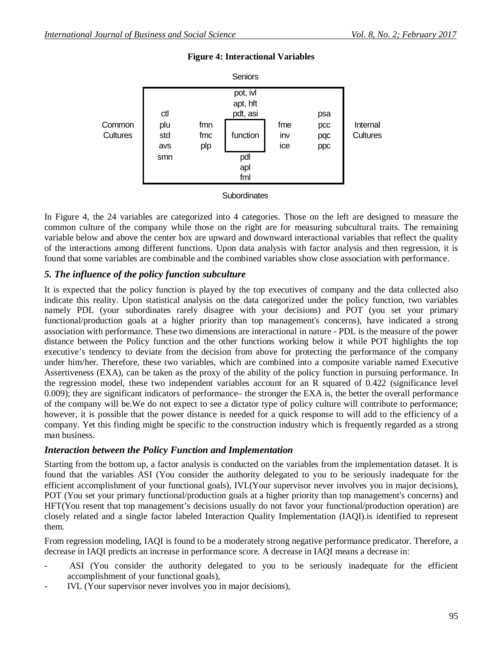

### **Figure 4: Interactional Variables**

**Subordinates** 

In Figure 4, the 24 variables are categorized into 4 categories. Those on the left are designed to measure the common culture of the company while those on the right are for measuring subcultural traits. The remaining variable below and above the center box are upward and downward interactional variables that reflect the quality of the interactions among different functions. Upon data analysis with factor analysis and then regression, it is found that some variables are combinable and the combined variables show close association with performance.

### *5. The influence of the policy function subculture*

It is expected that the policy function is played by the top executives of company and the data collected also indicate this reality. Upon statistical analysis on the data categorized under the policy function, two variables namely PDL (your subordinates rarely disagree with your decisions) and POT (you set your primary functional/production goals at a higher priority than top management's concerns), have indicated a strong association with performance. These two dimensions are interactional in nature - PDL is the measure of the power distance between the Policy function and the other functions working below it while POT highlights the top executive's tendency to deviate from the decision from above for protecting the performance of the company under him/her. Therefore, these two variables, which are combined into a composite variable named Executive Assertiveness (EXA), can be taken as the proxy of the ability of the policy function in pursuing performance. In the regression model, these two independent variables account for an R squared of 0.422 (significance level 0.009); they are significant indicators of performance– the stronger the EXA is, the better the overall performance of the company will be.We do not expect to see a dictator type of policy culture will contribute to performance; however, it is possible that the power distance is needed for a quick response to will add to the efficiency of a company. Yet this finding might be specific to the construction industry which is frequently regarded as a strong man business.

### *Interaction between the Policy Function and Implementation*

Starting from the bottom up, a factor analysis is conducted on the variables from the implementation dataset. It is found that the variables ASI (You consider the authority delegated to you to be seriously inadequate for the efficient accomplishment of your functional goals), IVL(Your supervisor never involves you in major decisions), POT (You set your primary functional/production goals at a higher priority than top management's concerns) and HFT(You resent that top management's decisions usually do not favor your functional/production operation) are closely related and a single factor labeled Interaction Quality Implementation (IAQI).is identified to represent them.

From regression modeling, IAQI is found to be a moderately strong negative performance predicator. Therefore, a decrease in IAQI predicts an increase in performance score. A decrease in IAQI means a decrease in:

- ASI (You consider the authority delegated to you to be seriously inadequate for the efficient accomplishment of your functional goals),
- IVL (Your supervisor never involves you in major decisions),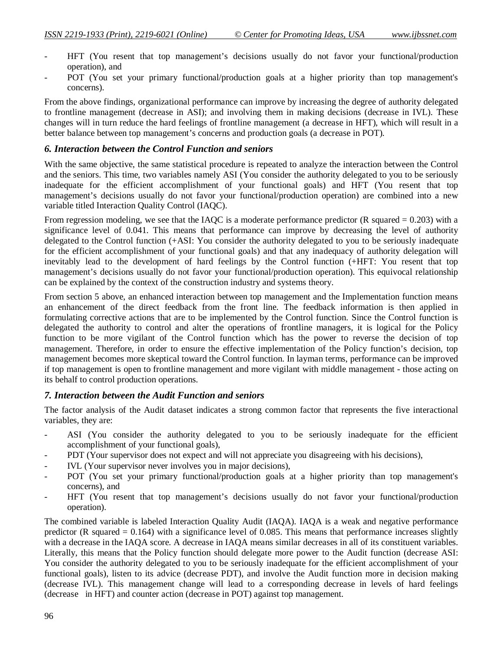- HFT (You resent that top management's decisions usually do not favor your functional/production operation), and
- POT (You set your primary functional/production goals at a higher priority than top management's concerns).

From the above findings, organizational performance can improve by increasing the degree of authority delegated to frontline management (decrease in ASI); and involving them in making decisions (decrease in IVL). These changes will in turn reduce the hard feelings of frontline management (a decrease in HFT), which will result in a better balance between top management's concerns and production goals (a decrease in POT).

#### *6. Interaction between the Control Function and seniors*

With the same objective, the same statistical procedure is repeated to analyze the interaction between the Control and the seniors. This time, two variables namely ASI (You consider the authority delegated to you to be seriously inadequate for the efficient accomplishment of your functional goals) and HFT (You resent that top management's decisions usually do not favor your functional/production operation) are combined into a new variable titled Interaction Quality Control (IAQC).

From regression modeling, we see that the IAQC is a moderate performance predictor (R squared  $= 0.203$ ) with a significance level of 0.041. This means that performance can improve by decreasing the level of authority delegated to the Control function (+ASI: You consider the authority delegated to you to be seriously inadequate for the efficient accomplishment of your functional goals) and that any inadequacy of authority delegation will inevitably lead to the development of hard feelings by the Control function (+HFT: You resent that top management's decisions usually do not favor your functional/production operation). This equivocal relationship can be explained by the context of the construction industry and systems theory.

From section 5 above, an enhanced interaction between top management and the Implementation function means an enhancement of the direct feedback from the front line. The feedback information is then applied in formulating corrective actions that are to be implemented by the Control function. Since the Control function is delegated the authority to control and alter the operations of frontline managers, it is logical for the Policy function to be more vigilant of the Control function which has the power to reverse the decision of top management. Therefore, in order to ensure the effective implementation of the Policy function's decision, top management becomes more skeptical toward the Control function. In layman terms, performance can be improved if top management is open to frontline management and more vigilant with middle management - those acting on its behalf to control production operations.

#### *7. Interaction between the Audit Function and seniors*

The factor analysis of the Audit dataset indicates a strong common factor that represents the five interactional variables, they are:

- ASI (You consider the authority delegated to you to be seriously inadequate for the efficient accomplishment of your functional goals),
- PDT (Your supervisor does not expect and will not appreciate you disagreeing with his decisions),
- IVL (Your supervisor never involves you in major decisions),
- POT (You set your primary functional/production goals at a higher priority than top management's concerns), and
- HFT (You resent that top management's decisions usually do not favor your functional/production operation).

The combined variable is labeled Interaction Quality Audit (IAQA). IAQA is a weak and negative performance predictor (R squared  $= 0.164$ ) with a significance level of 0.085. This means that performance increases slightly with a decrease in the IAQA score. A decrease in IAQA means similar decreases in all of its constituent variables. Literally, this means that the Policy function should delegate more power to the Audit function (decrease ASI: You consider the authority delegated to you to be seriously inadequate for the efficient accomplishment of your functional goals), listen to its advice (decrease PDT), and involve the Audit function more in decision making (decrease IVL). This management change will lead to a corresponding decrease in levels of hard feelings (decrease in HFT) and counter action (decrease in POT) against top management.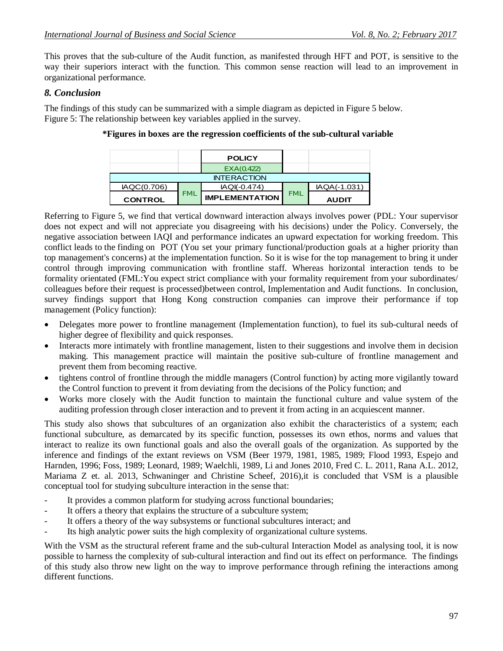This proves that the sub-culture of the Audit function, as manifested through HFT and POT, is sensitive to the way their superiors interact with the function. This common sense reaction will lead to an improvement in organizational performance.

# *8. Conclusion*

The findings of this study can be summarized with a simple diagram as depicted in Figure 5 below. Figure 5: The relationship between key variables applied in the survey.

|                    |            | <b>POLICY</b>         |            |              |  |  |  |
|--------------------|------------|-----------------------|------------|--------------|--|--|--|
|                    |            | EXA(0.422)            |            |              |  |  |  |
| <b>INTERACTION</b> |            |                       |            |              |  |  |  |
| IAQC(0.706)        |            | IAQI(-0.474)          | <b>FML</b> | IAQA(-1.031  |  |  |  |
| <b>CONTROL</b>     | <b>FML</b> | <b>IMPLEMENTATION</b> |            | <b>AUDIT</b> |  |  |  |

# **\*Figures in boxes are the regression coefficients of the sub-cultural variable**

Referring to Figure 5, we find that vertical downward interaction always involves power (PDL: Your supervisor does not expect and will not appreciate you disagreeing with his decisions) under the Policy. Conversely, the negative association between IAQI and performance indicates an upward expectation for working freedom. This conflict leads to the finding on POT (You set your primary functional/production goals at a higher priority than top management's concerns) at the implementation function. So it is wise for the top management to bring it under control through improving communication with frontline staff. Whereas horizontal interaction tends to be formality orientated (FML:You expect strict compliance with your formality requirement from your subordinates/ colleagues before their request is processed)between control, Implementation and Audit functions. In conclusion, survey findings support that Hong Kong construction companies can improve their performance if top management (Policy function):

- Delegates more power to frontline management (Implementation function), to fuel its sub-cultural needs of higher degree of flexibility and quick responses.
- Interacts more intimately with frontline management, listen to their suggestions and involve them in decision making. This management practice will maintain the positive sub-culture of frontline management and prevent them from becoming reactive.
- tightens control of frontline through the middle managers (Control function) by acting more vigilantly toward the Control function to prevent it from deviating from the decisions of the Policy function; and
- Works more closely with the Audit function to maintain the functional culture and value system of the auditing profession through closer interaction and to prevent it from acting in an acquiescent manner.

This study also shows that subcultures of an organization also exhibit the characteristics of a system; each functional subculture, as demarcated by its specific function, possesses its own ethos, norms and values that interact to realize its own functional goals and also the overall goals of the organization. As supported by the inference and findings of the extant reviews on VSM (Beer 1979, 1981, 1985, 1989; Flood 1993, Espejo and Harnden, 1996; Foss, 1989; Leonard, 1989; Waelchli, 1989, Li and Jones 2010, Fred C. L. 2011, Rana A.L. 2012, Mariama Z et. al. 2013, Schwaninger and Christine Scheef, 2016),it is concluded that VSM is a plausible conceptual tool for studying subculture interaction in the sense that:

- It provides a common platform for studying across functional boundaries;
- It offers a theory that explains the structure of a subculture system;
- It offers a theory of the way subsystems or functional subcultures interact; and
- Its high analytic power suits the high complexity of organizational culture systems.

With the VSM as the structural referent frame and the sub-cultural Interaction Model as analysing tool, it is now possible to harness the complexity of sub-cultural interaction and find out its effect on performance. The findings of this study also throw new light on the way to improve performance through refining the interactions among different functions.